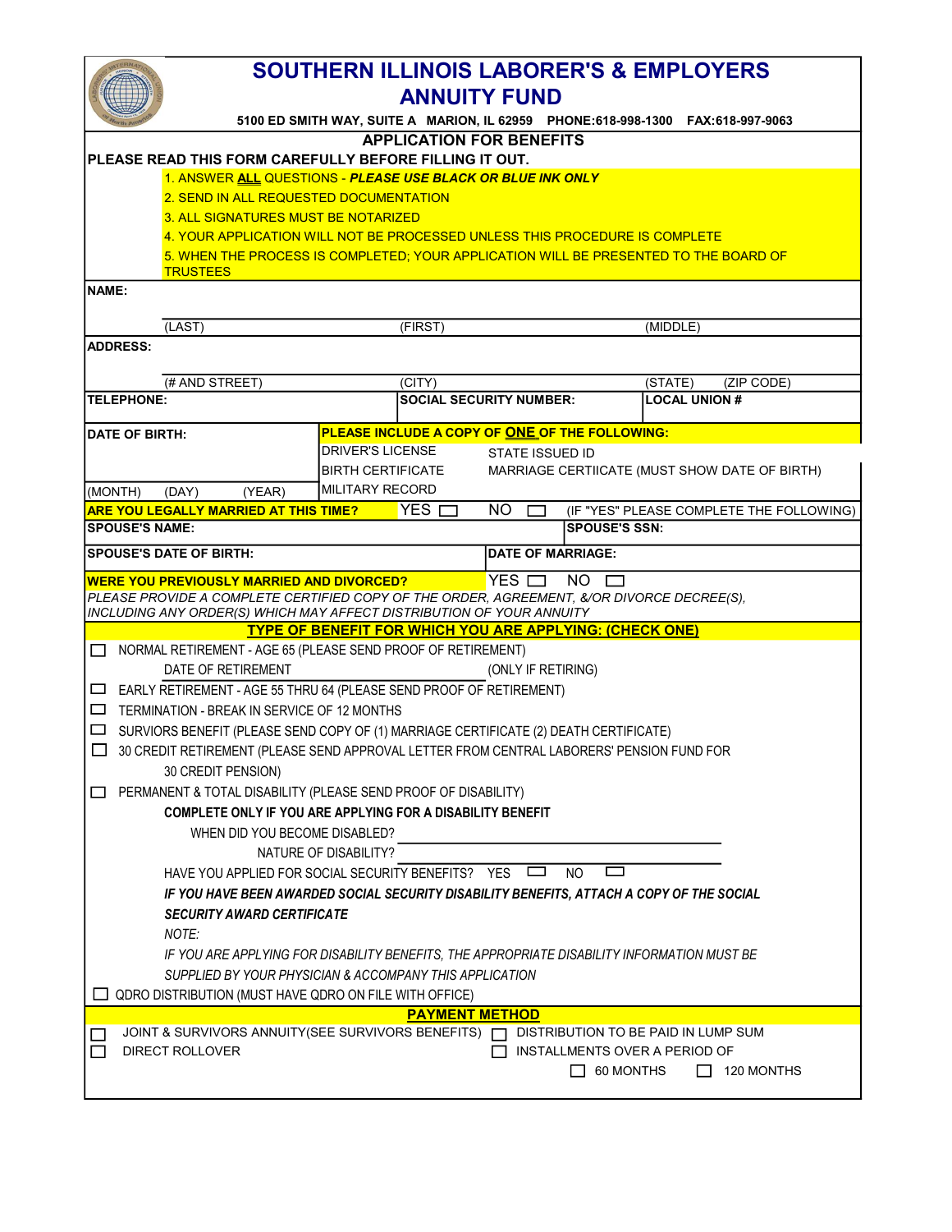|                                                                                                  | <b>SOUTHERN ILLINOIS LABORER'S &amp; EMPLOYERS</b><br><b>ANNUITY FUND</b>                                          |                                                                                                                                                                   |                                |                                                                                      |  |  |
|--------------------------------------------------------------------------------------------------|--------------------------------------------------------------------------------------------------------------------|-------------------------------------------------------------------------------------------------------------------------------------------------------------------|--------------------------------|--------------------------------------------------------------------------------------|--|--|
|                                                                                                  |                                                                                                                    |                                                                                                                                                                   |                                | 5100 ED SMITH WAY, SUITE A MARION, IL 62959 PHONE:618-998-1300 FAX:618-997-9063      |  |  |
| <b>APPLICATION FOR BENEFITS</b>                                                                  |                                                                                                                    |                                                                                                                                                                   |                                |                                                                                      |  |  |
| IPLEASE READ THIS FORM CAREFULLY BEFORE FILLING IT OUT.                                          |                                                                                                                    |                                                                                                                                                                   |                                |                                                                                      |  |  |
| 1. ANSWER ALL QUESTIONS - PLEASE USE BLACK OR BLUE INK ONLY                                      |                                                                                                                    |                                                                                                                                                                   |                                |                                                                                      |  |  |
|                                                                                                  | 2. SEND IN ALL REQUESTED DOCUMENTATION                                                                             |                                                                                                                                                                   |                                |                                                                                      |  |  |
|                                                                                                  | 3. ALL SIGNATURES MUST BE NOTARIZED<br>4. YOUR APPLICATION WILL NOT BE PROCESSED UNLESS THIS PROCEDURE IS COMPLETE |                                                                                                                                                                   |                                |                                                                                      |  |  |
|                                                                                                  |                                                                                                                    |                                                                                                                                                                   |                                | 5. WHEN THE PROCESS IS COMPLETED: YOUR APPLICATION WILL BE PRESENTED TO THE BOARD OF |  |  |
|                                                                                                  | <b>TRUSTEES</b>                                                                                                    |                                                                                                                                                                   |                                |                                                                                      |  |  |
| <b>INAME:</b>                                                                                    |                                                                                                                    |                                                                                                                                                                   |                                |                                                                                      |  |  |
|                                                                                                  |                                                                                                                    |                                                                                                                                                                   |                                |                                                                                      |  |  |
|                                                                                                  | (LAST)                                                                                                             | (FIRST)                                                                                                                                                           |                                | (MIDDLE)                                                                             |  |  |
| <b>ADDRESS:</b>                                                                                  |                                                                                                                    |                                                                                                                                                                   |                                |                                                                                      |  |  |
|                                                                                                  |                                                                                                                    |                                                                                                                                                                   |                                |                                                                                      |  |  |
|                                                                                                  | (# AND STREET)                                                                                                     | (CITY)                                                                                                                                                            |                                | (STATE)<br>(ZIP CODE)                                                                |  |  |
| <b>TELEPHONE:</b>                                                                                |                                                                                                                    |                                                                                                                                                                   | <b>SOCIAL SECURITY NUMBER:</b> | <b>LOCAL UNION #</b>                                                                 |  |  |
| <b>IDATE OF BIRTH:</b>                                                                           |                                                                                                                    | PLEASE INCLUDE A COPY OF ONE OF THE FOLLOWING:                                                                                                                    |                                |                                                                                      |  |  |
|                                                                                                  |                                                                                                                    | <b>DRIVER'S LICENSE</b>                                                                                                                                           | STATE ISSUED ID                |                                                                                      |  |  |
|                                                                                                  |                                                                                                                    | <b>BIRTH CERTIFICATE</b>                                                                                                                                          |                                | MARRIAGE CERTIICATE (MUST SHOW DATE OF BIRTH)                                        |  |  |
| (MONTH)                                                                                          | (DAY)<br>(YEAR)                                                                                                    | MILITARY RECORD                                                                                                                                                   |                                |                                                                                      |  |  |
|                                                                                                  | <b>ARE YOU LEGALLY MARRIED AT THIS TIME?</b>                                                                       | $YES \Box$                                                                                                                                                        | NO.                            | (IF "YES" PLEASE COMPLETE THE FOLLOWING)                                             |  |  |
| <b>SPOUSE'S NAME:</b>                                                                            |                                                                                                                    |                                                                                                                                                                   |                                | <b>SPOUSE'S SSN:</b>                                                                 |  |  |
|                                                                                                  | <b>SPOUSE'S DATE OF BIRTH:</b>                                                                                     |                                                                                                                                                                   | <b>DATE OF MARRIAGE:</b>       |                                                                                      |  |  |
|                                                                                                  | <b>WERE YOU PREVIOUSLY MARRIED AND DIVORCED?</b>                                                                   |                                                                                                                                                                   | YES $\Box$                     | $NO$ $\Box$                                                                          |  |  |
|                                                                                                  |                                                                                                                    | PLEASE PROVIDE A COMPLETE CERTIFIED COPY OF THE ORDER, AGREEMENT, &/OR DIVORCE DECREE(S),<br>INCLUDING ANY ORDER(S) WHICH MAY AFFECT DISTRIBUTION OF YOUR ANNUITY |                                |                                                                                      |  |  |
|                                                                                                  |                                                                                                                    | <b>TYPE OF BENEFIT FOR WHICH YOU ARE APPLYING: (CHECK ONE)</b>                                                                                                    |                                |                                                                                      |  |  |
|                                                                                                  |                                                                                                                    | NORMAL RETIREMENT - AGE 65 (PLEASE SEND PROOF OF RETIREMENT)                                                                                                      |                                |                                                                                      |  |  |
|                                                                                                  | DATE OF RETIREMENT                                                                                                 |                                                                                                                                                                   | (ONLY IF RETIRING)             |                                                                                      |  |  |
|                                                                                                  |                                                                                                                    | $\Box$ EARLY RETIREMENT - AGE 55 THRU 64 (PLEASE SEND PROOF OF RETIREMENT)                                                                                        |                                |                                                                                      |  |  |
|                                                                                                  | $\Box$ TERMINATION - BREAK IN SERVICE OF 12 MONTHS                                                                 |                                                                                                                                                                   |                                |                                                                                      |  |  |
|                                                                                                  | □ SURVIORS BENEFIT (PLEASE SEND COPY OF (1) MARRIAGE CERTIFICATE (2) DEATH CERTIFICATE)                            |                                                                                                                                                                   |                                |                                                                                      |  |  |
| $\Box$ 30 CREDIT RETIREMENT (PLEASE SEND APPROVAL LETTER FROM CENTRAL LABORERS' PENSION FUND FOR |                                                                                                                    |                                                                                                                                                                   |                                |                                                                                      |  |  |
| 30 CREDIT PENSION)                                                                               |                                                                                                                    |                                                                                                                                                                   |                                |                                                                                      |  |  |
| PERMANENT & TOTAL DISABILITY (PLEASE SEND PROOF OF DISABILITY)                                   |                                                                                                                    |                                                                                                                                                                   |                                |                                                                                      |  |  |
| COMPLETE ONLY IF YOU ARE APPLYING FOR A DISABILITY BENEFIT                                       |                                                                                                                    |                                                                                                                                                                   |                                |                                                                                      |  |  |
| WHEN DID YOU BECOME DISABLED?                                                                    |                                                                                                                    |                                                                                                                                                                   |                                |                                                                                      |  |  |
| NATURE OF DISABILITY?                                                                            |                                                                                                                    |                                                                                                                                                                   |                                |                                                                                      |  |  |
| HAVE YOU APPLIED FOR SOCIAL SECURITY BENEFITS? YES<br>$\Box$<br>NO.                              |                                                                                                                    |                                                                                                                                                                   |                                |                                                                                      |  |  |
| IF YOU HAVE BEEN AWARDED SOCIAL SECURITY DISABILITY BENEFITS, ATTACH A COPY OF THE SOCIAL        |                                                                                                                    |                                                                                                                                                                   |                                |                                                                                      |  |  |
| <b>SECURITY AWARD CERTIFICATE</b>                                                                |                                                                                                                    |                                                                                                                                                                   |                                |                                                                                      |  |  |
|                                                                                                  | NOTE:                                                                                                              |                                                                                                                                                                   |                                |                                                                                      |  |  |
| IF YOU ARE APPLYING FOR DISABILITY BENEFITS, THE APPROPRIATE DISABILITY INFORMATION MUST BE      |                                                                                                                    |                                                                                                                                                                   |                                |                                                                                      |  |  |
| SUPPLIED BY YOUR PHYSICIAN & ACCOMPANY THIS APPLICATION                                          |                                                                                                                    |                                                                                                                                                                   |                                |                                                                                      |  |  |
| QDRO DISTRIBUTION (MUST HAVE QDRO ON FILE WITH OFFICE)                                           |                                                                                                                    |                                                                                                                                                                   |                                |                                                                                      |  |  |
| <b>PAYMENT METHOD</b>                                                                            |                                                                                                                    |                                                                                                                                                                   |                                |                                                                                      |  |  |
| JOINT & SURVIVORS ANNUITY(SEE SURVIVORS BENEFITS)<br>DISTRIBUTION TO BE PAID IN LUMP SUM         |                                                                                                                    |                                                                                                                                                                   |                                |                                                                                      |  |  |
|                                                                                                  | <b>DIRECT ROLLOVER</b>                                                                                             |                                                                                                                                                                   |                                | INSTALLMENTS OVER A PERIOD OF                                                        |  |  |
|                                                                                                  |                                                                                                                    |                                                                                                                                                                   |                                | 60 MONTHS<br>120 MONTHS<br>$\mathsf{L}$                                              |  |  |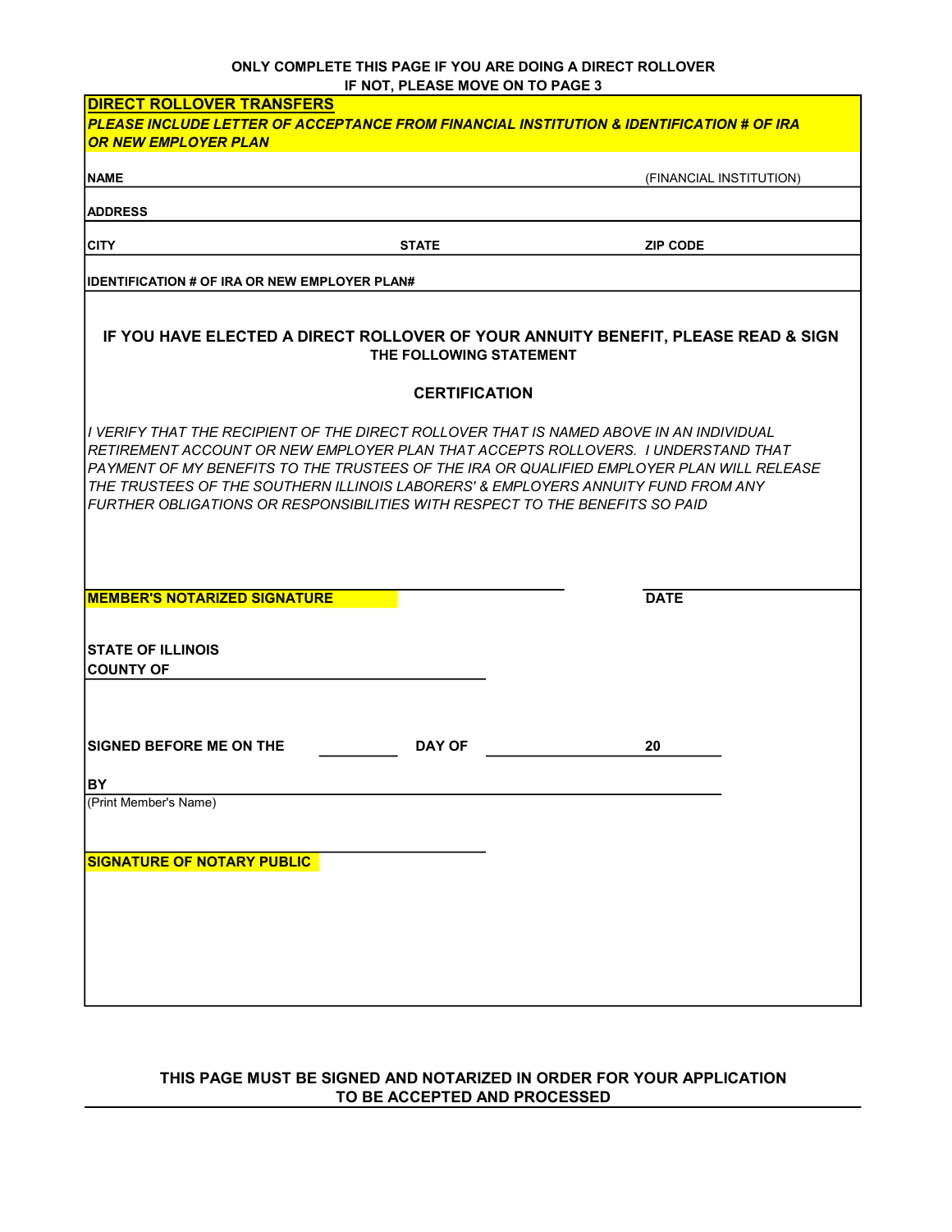## IF NOT, PLEASE MOVE ON TO PAGE 3 ONLY COMPLETE THIS PAGE IF YOU ARE DOING A DIRECT ROLLOVER

| $\ldots$ $\ldots$ , $\ldots$<br><b>DIRECT ROLLOVER TRANSFERS</b>                                                                                                                                                                                                                                                                                                                                                                                   |                         |  |  |  |
|----------------------------------------------------------------------------------------------------------------------------------------------------------------------------------------------------------------------------------------------------------------------------------------------------------------------------------------------------------------------------------------------------------------------------------------------------|-------------------------|--|--|--|
| <b>OR NEW EMPLOYER PLAN</b>                                                                                                                                                                                                                                                                                                                                                                                                                        |                         |  |  |  |
| <b>NAME</b>                                                                                                                                                                                                                                                                                                                                                                                                                                        | (FINANCIAL INSTITUTION) |  |  |  |
| <b>IADDRESS</b>                                                                                                                                                                                                                                                                                                                                                                                                                                    |                         |  |  |  |
|                                                                                                                                                                                                                                                                                                                                                                                                                                                    |                         |  |  |  |
| <b>CITY</b><br><b>STATE</b>                                                                                                                                                                                                                                                                                                                                                                                                                        | <b>ZIP CODE</b>         |  |  |  |
| <b>IIDENTIFICATION # OF IRA OR NEW EMPLOYER PLAN#</b>                                                                                                                                                                                                                                                                                                                                                                                              |                         |  |  |  |
|                                                                                                                                                                                                                                                                                                                                                                                                                                                    |                         |  |  |  |
| IF YOU HAVE ELECTED A DIRECT ROLLOVER OF YOUR ANNUITY BENEFIT, PLEASE READ & SIGN<br>THE FOLLOWING STATEMENT                                                                                                                                                                                                                                                                                                                                       |                         |  |  |  |
| <b>CERTIFICATION</b>                                                                                                                                                                                                                                                                                                                                                                                                                               |                         |  |  |  |
| II VERIFY THAT THE RECIPIENT OF THE DIRECT ROLLOVER THAT IS NAMED ABOVE IN AN INDIVIDUAL<br>IRETIREMENT ACCOUNT OR NEW EMPLOYER PLAN THAT ACCEPTS ROLLOVERS. I UNDERSTAND THAT<br>IPAYMENT OF MY BENEFITS TO THE TRUSTEES OF THE IRA OR QUALIFIED EMPLOYER PLAN WILL RELEASE<br>THE TRUSTEES OF THE SOUTHERN ILLINOIS LABORERS' & EMPLOYERS ANNUITY FUND FROM ANY<br> FURTHER OBLIGATIONS OR RESPONSIBILITIES WITH RESPECT TO THE BENEFITS SO PAID |                         |  |  |  |
| <b>MEMBER'S NOTARIZED SIGNATURE</b>                                                                                                                                                                                                                                                                                                                                                                                                                | <b>DATE</b>             |  |  |  |
| <b>ISTATE OF ILLINOIS</b><br><b>ICOUNTY OF</b>                                                                                                                                                                                                                                                                                                                                                                                                     |                         |  |  |  |
| <b>ISIGNED BEFORE ME ON THE</b><br><b>DAY OF</b>                                                                                                                                                                                                                                                                                                                                                                                                   | 20                      |  |  |  |
| IBY.<br>(Print Member's Name)<br><b>SIGNATURE OF NOTARY PUBLIC</b>                                                                                                                                                                                                                                                                                                                                                                                 |                         |  |  |  |
|                                                                                                                                                                                                                                                                                                                                                                                                                                                    |                         |  |  |  |

## THIS PAGE MUST BE SIGNED AND NOTARIZED IN ORDER FOR YOUR APPLICATION TO BE ACCEPTED AND PROCESSED